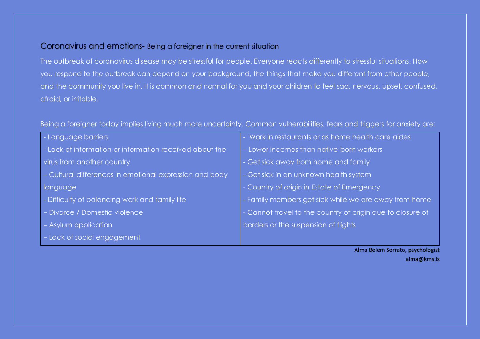## Coronavirus and emotions- Being a foreigner in the current situation

The outbreak of coronavirus disease may be stressful for people. Everyone reacts differently to stressful situations. How you respond to the outbreak can depend on your background, the things that make you different from other people, and the community you live in. It is common and normal for you and your children to feel sad, nervous, upset, confused, afraid, or irritable.

Being a foreigner today implies living much more uncertainty. Common vulnerabilities, fears and triggers for anxiety are:

| - Language barriers                                     | - Work in restaurants or as home health care aides         |
|---------------------------------------------------------|------------------------------------------------------------|
| - Lack of information or information received about the | - Lower incomes than native-born workers                   |
| virus from another country                              | - Get sick away from home and family                       |
| - Cultural differences in emotional expression and body | - Get sick in an unknown health system                     |
| language                                                | - Country of origin in Estate of Emergency                 |
| - Difficulty of balancing work and family life          | - Family members get sick while we are away from home      |
| - Divorce / Domestic violence                           | - Cannot travel to the country of origin due to closure of |
| - Asylum application                                    | borders or the suspension of flights                       |
| - Lack of social engagement                             |                                                            |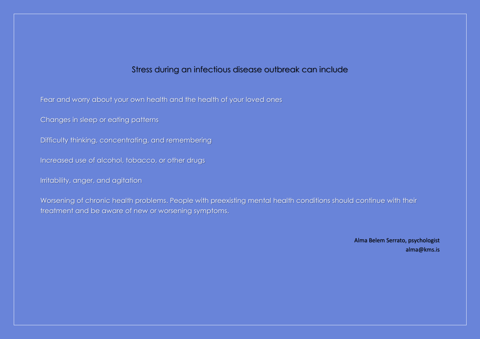## Stress during an infectious disease outbreak can include

Fear and worry about your own health and the health of your loved ones

Changes in sleep or eating patterns

Difficulty thinking, concentrating, and remembering

Increased use of alcohol, tobacco, or other drugs

Irritability, anger, and agitation

Worsening of chronic health problems. People with preexisting mental health conditions should continue with their treatment and be aware of new or worsening symptoms.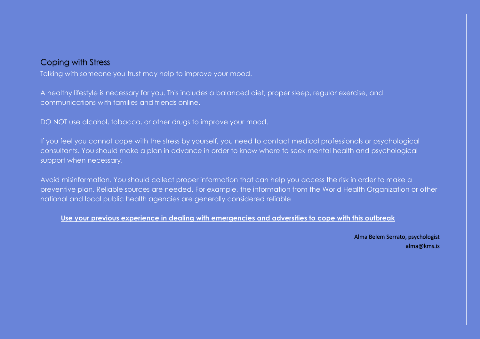# Coping with Stress

Talking with someone you trust may help to improve your mood.

A healthy lifestyle is necessary for you. This includes a balanced diet, proper sleep, regular exercise, and communications with families and friends online.

DO NOT use alcohol, tobacco, or other drugs to improve your mood.

If you feel you cannot cope with the stress by yourself, you need to contact medical professionals or psychological consultants. You should make a plan in advance in order to know where to seek mental health and psychological support when necessary.

Avoid misinformation. You should collect proper information that can help you access the risk in order to make a preventive plan. Reliable sources are needed. For example, the information from the World Health Organization or other national and local public health agencies are generally considered reliable

### **Use your previous experience in dealing with emergencies and adversities to cope with this outbreak**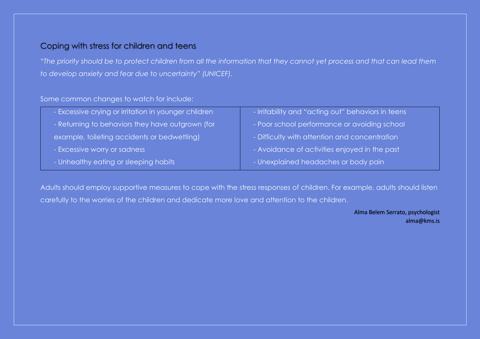# Coping with stress for children and teens

*"The priority should be to protect children from all the information that they cannot yet process and that can lead them to develop anxiety and fear due to uncertainty" (UNICEF).* 

### Some common changes to watch for include:

| - Excessive crying or irritation in younger children | - Irritability and "acting out" behaviors in teens |
|------------------------------------------------------|----------------------------------------------------|
| - Returning to behaviors they have outgrown (for     | - Poor school performance or avoiding school       |
| example, toileting accidents or bedwetting)          | - Difficulty with attention and concentration      |
| - Excessive worry or sadness                         | - Avoidance of activities enjoyed in the past      |
| - Unhealthy eating or sleeping habits                | - Unexplained headaches or body pain               |

Adults should employ supportive measures to cope with the stress responses of children. For example, adults should listen carefully to the worries of the children and dedicate more love and attention to the children.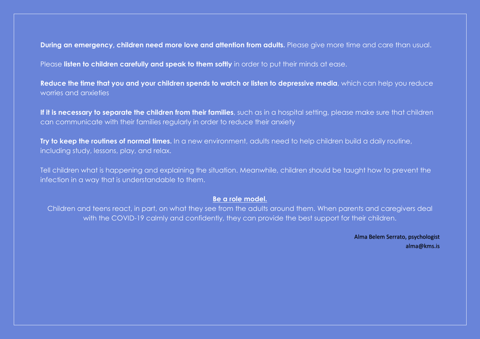**During an emergency, children need more love and attention from adults.** Please give more time and care than usual.

Please **listen to children carefully and speak to them softly** in order to put their minds at ease.

**Reduce the time that you and your children spends to watch or listen to depressive media**, which can help you reduce worries and anxieties

If it is necessary to separate the children from their families, such as in a hospital setting, please make sure that children can communicate with their families regularly in order to reduce their anxiety

**Try to keep the routines of normal times.** In a new environment, adults need to help children build a daily routine, including study, lessons, play, and relax.

Tell children what is happening and explaining the situation. Meanwhile, children should be taught how to prevent the infection in a way that is understandable to them.

#### **Be a role model.**

Children and teens react, in part, on what they see from the adults around them. When parents and caregivers deal with the COVID-19 calmly and confidently, they can provide the best support for their children.